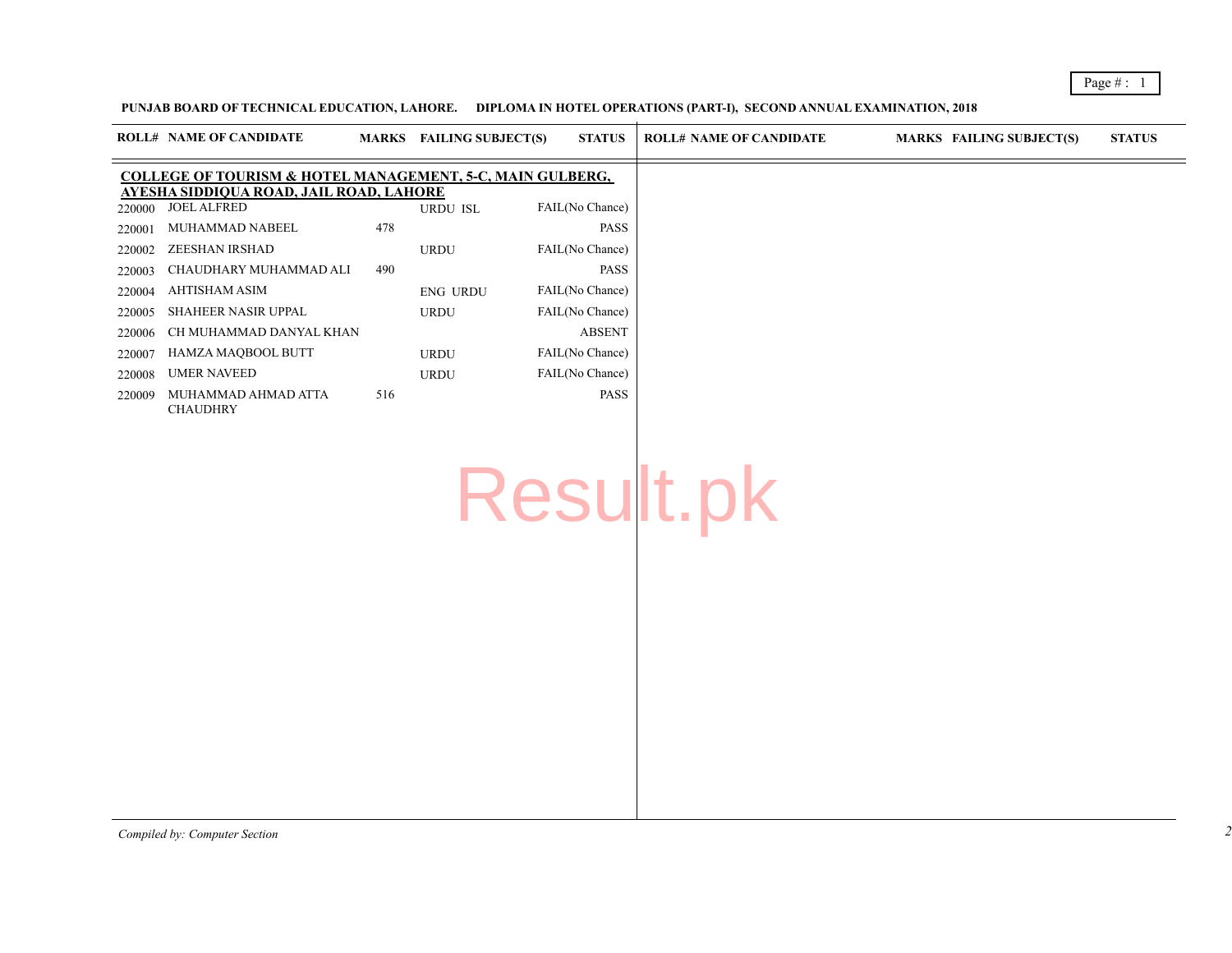## PUNJAB BOARD OF TECHNICAL EDUCATION, LAHORE. DIPLOMA IN HOTEL OPERATIONS (PART-I), SECOND ANNUAL EXAMINATION,

|                                                                                                                 | <b>ROLL# NAME OF CANDIDATE</b>         | <b>MARKS</b> | <b>FAILING SUBJECT(S)</b> | <b>STATUS</b>   | <b>ROLL# NAME OF CANDIDATE</b> | <b>MARKS</b> |
|-----------------------------------------------------------------------------------------------------------------|----------------------------------------|--------------|---------------------------|-----------------|--------------------------------|--------------|
| <b>COLLEGE OF TOURISM &amp; HOTEL MANAGEMENT, 5-C, MAIN GULBERG,</b><br>AYESHA SIDDIQUA ROAD, JAIL ROAD, LAHORE |                                        |              |                           |                 |                                |              |
| 220000                                                                                                          | <b>JOEL ALFRED</b>                     |              | <b>URDU ISL</b>           | FAIL(No Chance) |                                |              |
| 220001                                                                                                          | MUHAMMAD NABEEL                        | 478          |                           | <b>PASS</b>     |                                |              |
| 220002                                                                                                          | ZEESHAN IRSHAD                         |              | <b>URDU</b>               | FAIL(No Chance) |                                |              |
| 220003                                                                                                          | CHAUDHARY MUHAMMAD ALI                 | 490          |                           | <b>PASS</b>     |                                |              |
| 220004                                                                                                          | AHTISHAM ASIM                          |              | <b>ENG URDU</b>           | FAIL(No Chance) |                                |              |
| 220005                                                                                                          | SHAHEER NASIR UPPAL                    |              | <b>URDU</b>               | FAIL(No Chance) |                                |              |
| 220006                                                                                                          | CH MUHAMMAD DANYAL KHAN                |              |                           | <b>ABSENT</b>   |                                |              |
| 220007                                                                                                          | HAMZA MAQBOOL BUTT                     |              | <b>URDU</b>               | FAIL(No Chance) |                                |              |
| 220008                                                                                                          | <b>UMER NAVEED</b>                     |              | <b>URDU</b>               | FAIL(No Chance) |                                |              |
| 220009                                                                                                          | MUHAMMAD AHMAD ATTA<br><b>CHAUDHRY</b> | 516          |                           | <b>PASS</b>     |                                |              |

Result.pk

*Compiled by: Computer Section*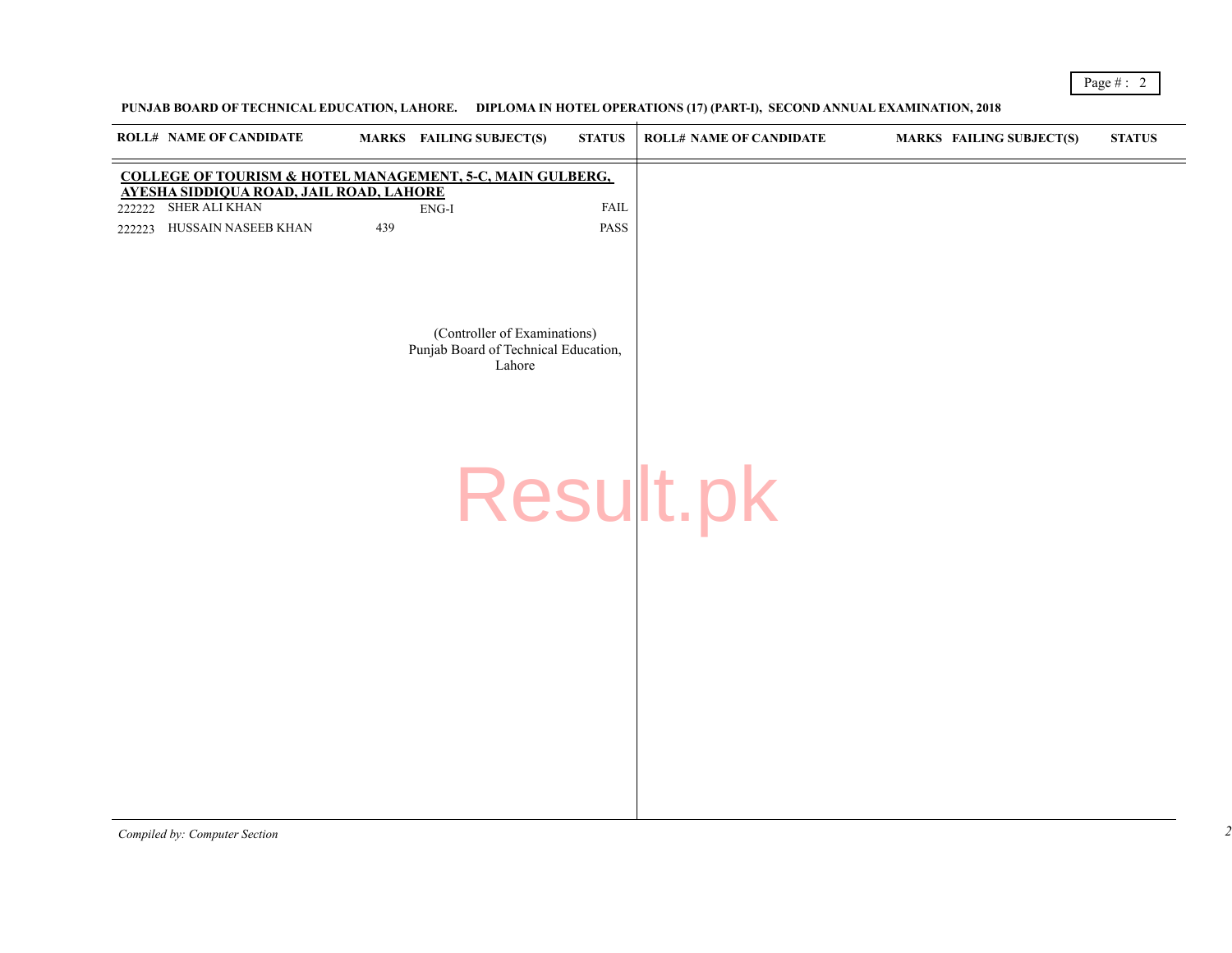## PUNJAB BOARD OF TECHNICAL EDUCATION, LAHORE. DIPLOMA IN HOTEL OPERATIONS (17) (PART-I), SECOND ANNUAL EXAMINATI

|        | <b>ROLL# NAME OF CANDIDATE</b>                                                                                         |     | MARKS FAILING SUBJECT(S)                                                       | <b>STATUS</b> | <b>ROLL# NAME OF CANDIDATE</b> | <b>MARKS</b> |
|--------|------------------------------------------------------------------------------------------------------------------------|-----|--------------------------------------------------------------------------------|---------------|--------------------------------|--------------|
|        | <b>COLLEGE OF TOURISM &amp; HOTEL MANAGEMENT, 5-C, MAIN GULBERG,</b><br><b>AYESHA SIDDIQUA ROAD, JAIL ROAD, LAHORE</b> |     |                                                                                |               |                                |              |
| 222222 | SHER ALI KHAN                                                                                                          |     | $ENG-I$                                                                        | <b>FAIL</b>   |                                |              |
| 222223 | HUSSAIN NASEEB KHAN                                                                                                    | 439 |                                                                                | PASS          |                                |              |
|        |                                                                                                                        |     | (Controller of Examinations)<br>Punjab Board of Technical Education,<br>Lahore |               | Result.pk                      |              |
|        |                                                                                                                        |     |                                                                                |               |                                |              |

*Compiled by: Computer Section*